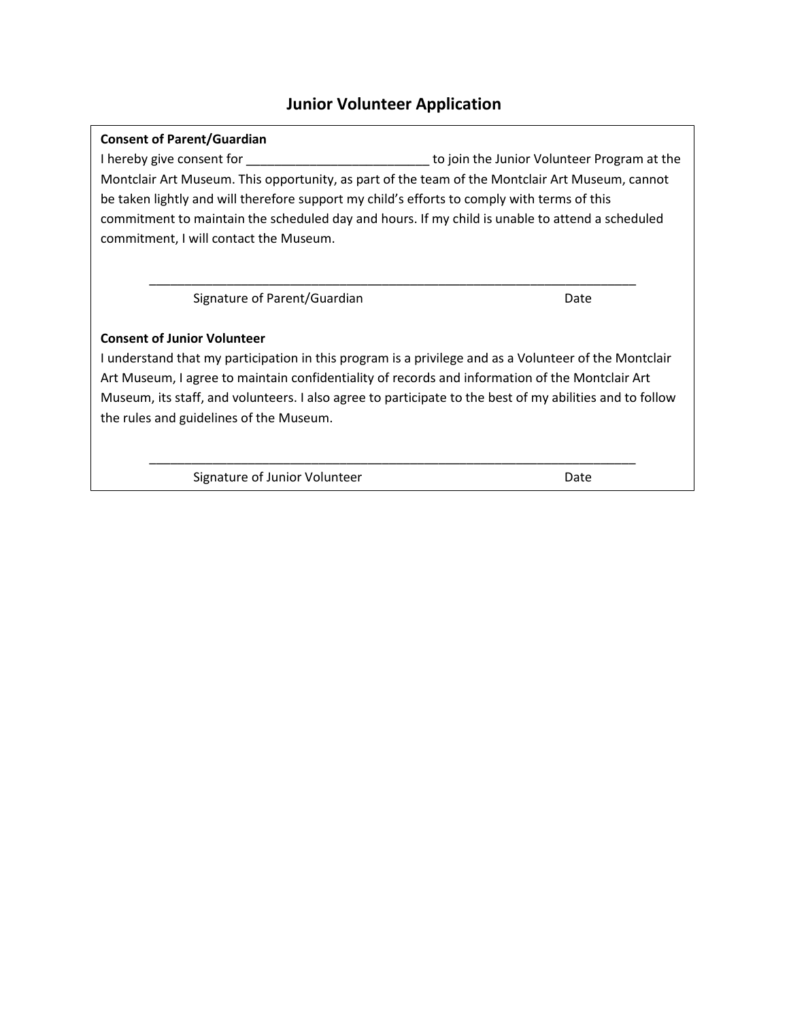## **Junior Volunteer Application**

## **Consent of Parent/Guardian**

I hereby give consent for \_\_\_\_\_\_\_\_\_\_\_\_\_\_\_\_\_\_\_\_\_\_\_\_\_\_ to join the Junior Volunteer Program at the Montclair Art Museum. This opportunity, as part of the team of the Montclair Art Museum, cannot be taken lightly and will therefore support my child's efforts to comply with terms of this commitment to maintain the scheduled day and hours. If my child is unable to attend a scheduled commitment, I will contact the Museum.

\_\_\_\_\_\_\_\_\_\_\_\_\_\_\_\_\_\_\_\_\_\_\_\_\_\_\_\_\_\_\_\_\_\_\_\_\_\_\_\_\_\_\_\_\_\_\_\_\_\_\_\_\_\_\_\_\_\_\_\_\_\_\_\_\_\_\_\_\_

Signature of Parent/Guardian Date

## **Consent of Junior Volunteer**

I understand that my participation in this program is a privilege and as a Volunteer of the Montclair Art Museum, I agree to maintain confidentiality of records and information of the Montclair Art Museum, its staff, and volunteers. I also agree to participate to the best of my abilities and to follow the rules and guidelines of the Museum.

\_\_\_\_\_\_\_\_\_\_\_\_\_\_\_\_\_\_\_\_\_\_\_\_\_\_\_\_\_\_\_\_\_\_\_\_\_\_\_\_\_\_\_\_\_\_\_\_\_\_\_\_\_\_\_\_\_\_\_\_\_\_\_\_\_\_\_\_\_

Signature of Junior Volunteer **Date** Date